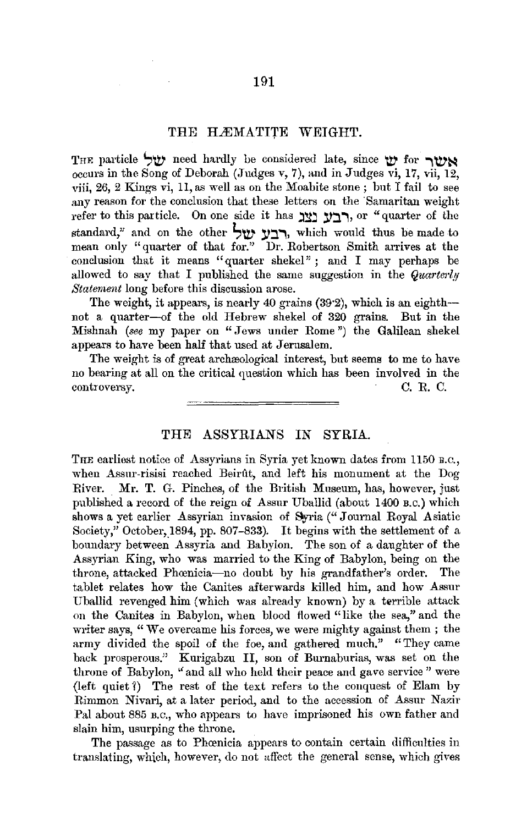## THE HÆMATITE WEIGHT.

THE particle **','IV'** need hardly be considered late, since **'IV'** for **.,'IV'~** occurs in the Song of Deborah (Judges v, 7), and in Judges vi, 17, vii, 12, viii, 26, 2 Kings vi, 11, as well as on the Moabite stone ; but I fail to see any reason for the conclusion that these letters on the Samaritan weight refer to this particle. On one side it has **יצג וצג** or "quarter of the standard," and on the other **~'IV' ,Y:J..,,** which would thus be made to mean only "quarter of that for.'' Dr. Robertson Smith arrives at the conclusion that it means "quarter shekel" ; and I may perhaps be allowed to say that I published the same suggestion in the *Quarterly Staternent* long before this discussion arose.

The weight, it appears, is nearly 40 grains  $(39.2)$ , which is an eighth-not a quarter-of the old Hebrew shekel of 320 grains. But in the Mishnah *(see* my paper on "Jews under Rome") the Galilean shekel appears to have been half that used at Jerusalem.

The weight is of great archeological interest, but seems to me to have no bearing at all on the critical question which has been involved in the controversy. C. R. C.

THE ASSYRIANS IN SYRIA.

THE earliest notice of Assyrians in Syria yet known dates from 1150 B.C., when Assur-risisi reached Beirût, and left his monument at the Dog River. Mr. T. G. Pinches, of the British Museum, has, however, just published a record of the reign of Assur Uballid (about 1400 B.c.) which shows a yet earlier Assyrian invasion of Syria ("Journal Royal Asiatic Society," October, 1894, pp. 807-833). It begins with the settlement of a boundary between Assyria and Babylon. The son of a daughter of the Assyrian King, who was married to the King of Babylon, being on the throne, attacked Phoenicia-no doubt by his grandfather's order. The tablet relates how the Canites afterwards killed him, and how Assur Uballid revenged him (which was already known) by a terrible attack on the Canites in Babylon, when blood flowed "like the sea," and the writer says, "We overcame his forces, we were mighty against them; the army divided the spoil of the foe, and gathered much." "They came hack prosperous." Kurigabzu II, son of Burnaburias, was set on the throne of Babylon, "and all who held their peace and gave service" were (left quiet?) The rest of the text refers to the conquest of Elam by Rimmon Nivari, at a later period, and to the accession of Assur Nazir Pal about 885 B.C., who appears to have imprisoned his own father and slain him, usurping the throne.

The passage as to Phoenicia appears to contain certain difficulties in translating, which, however, do not affect the general sense, which gives